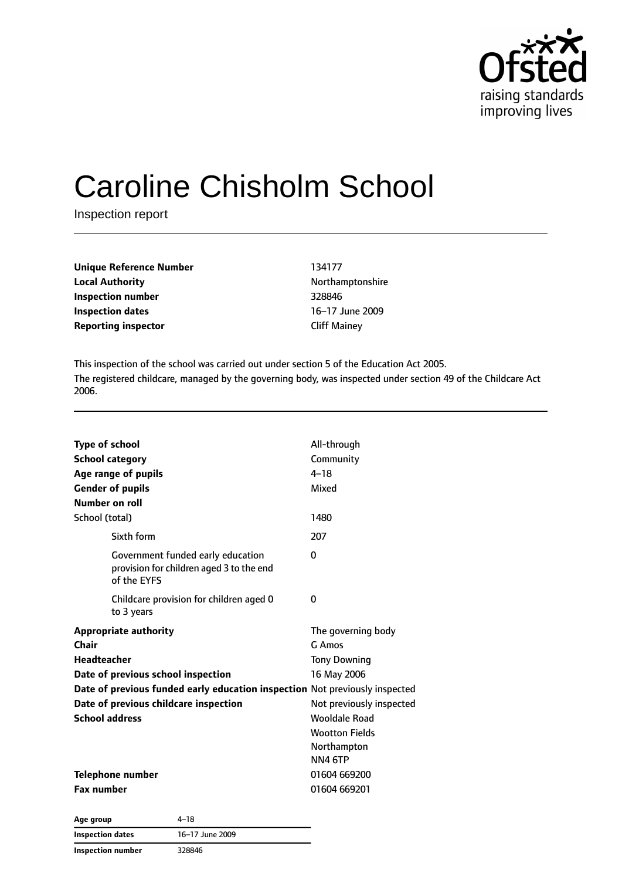

# Caroline Chisholm School

Inspection report

| Unique Reference Number    |
|----------------------------|
| <b>Local Authority</b>     |
| Inspection number          |
| Inspection dates           |
| <b>Reporting inspector</b> |

**Unique Reference Number** 134177 **Local Authority** Northamptonshire **Inspection number** 328846 **Inspection dates** 16–17 June 2009 **Cliff Mainey** 

This inspection of the school was carried out under section 5 of the Education Act 2005. The registered childcare, managed by the governing body, was inspected under section 49 of the Childcare Act 2006.

| <b>Type of school</b>                                                                        | All-through              |  |
|----------------------------------------------------------------------------------------------|--------------------------|--|
| <b>School category</b>                                                                       | Community                |  |
| Age range of pupils                                                                          | $4 - 18$                 |  |
| <b>Gender of pupils</b>                                                                      | Mixed                    |  |
| <b>Number on roll</b>                                                                        |                          |  |
| School (total)                                                                               | 1480                     |  |
| Sixth form                                                                                   | 207                      |  |
| Government funded early education<br>provision for children aged 3 to the end<br>of the EYFS | 0                        |  |
| Childcare provision for children aged 0<br>to 3 years                                        | 0                        |  |
| <b>Appropriate authority</b>                                                                 | The governing body       |  |
| Chair                                                                                        | G Amos                   |  |
| <b>Headteacher</b>                                                                           | <b>Tony Downing</b>      |  |
| Date of previous school inspection                                                           | 16 May 2006              |  |
| Date of previous funded early education inspection Not previously inspected                  |                          |  |
| Date of previous childcare inspection                                                        | Not previously inspected |  |
| <b>School address</b>                                                                        | <b>Wooldale Road</b>     |  |
|                                                                                              | <b>Wootton Fields</b>    |  |
|                                                                                              | Northampton              |  |
|                                                                                              | NN4 6TP                  |  |
| <b>Telephone number</b>                                                                      | 01604 669200             |  |
| <b>Fax number</b>                                                                            | 01604 669201             |  |

**Age group** 4–18 **Inspection dates** 16–17 June 2009 **Inspection number** 328846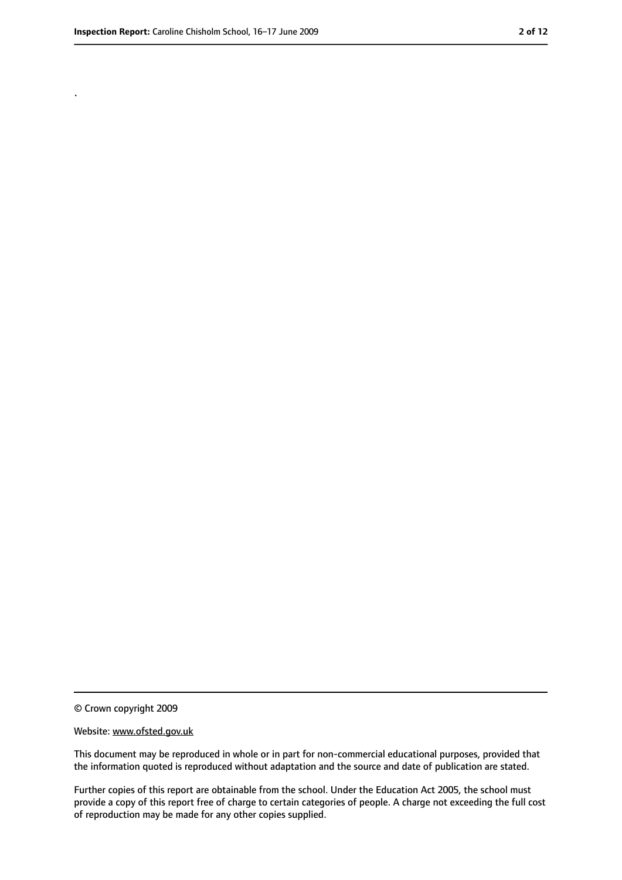.

<sup>©</sup> Crown copyright 2009

Website: www.ofsted.gov.uk

This document may be reproduced in whole or in part for non-commercial educational purposes, provided that the information quoted is reproduced without adaptation and the source and date of publication are stated.

Further copies of this report are obtainable from the school. Under the Education Act 2005, the school must provide a copy of this report free of charge to certain categories of people. A charge not exceeding the full cost of reproduction may be made for any other copies supplied.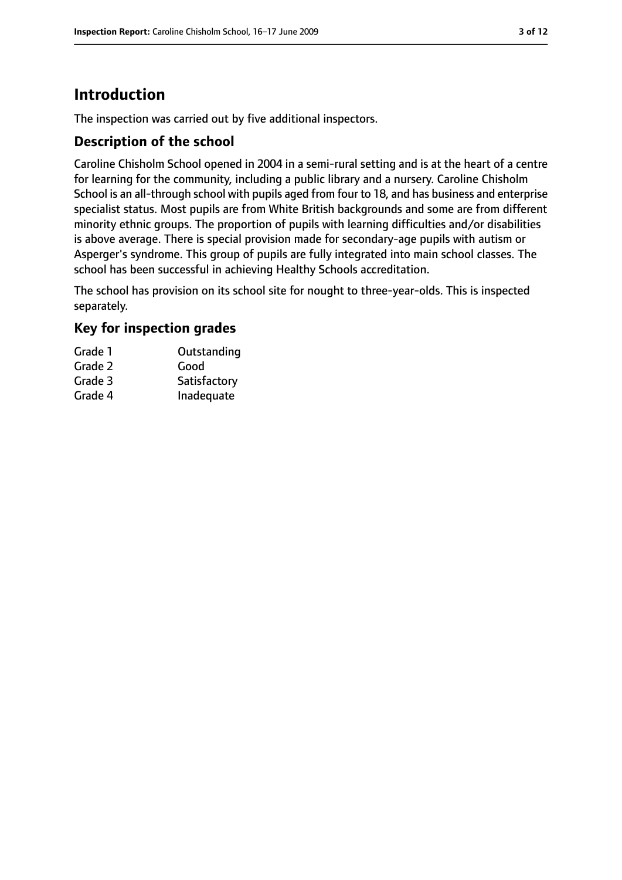# **Introduction**

The inspection was carried out by five additional inspectors.

## **Description of the school**

Caroline Chisholm School opened in 2004 in a semi-rural setting and is at the heart of a centre for learning for the community, including a public library and a nursery. Caroline Chisholm School is an all-through school with pupils aged from four to 18, and has business and enterprise specialist status. Most pupils are from White British backgrounds and some are from different minority ethnic groups. The proportion of pupils with learning difficulties and/or disabilities is above average. There is special provision made for secondary-age pupils with autism or Asperger's syndrome. This group of pupils are fully integrated into main school classes. The school has been successful in achieving Healthy Schools accreditation.

The school has provision on its school site for nought to three-year-olds. This is inspected separately.

### **Key for inspection grades**

| Grade 1 | Outstanding  |
|---------|--------------|
| Grade 2 | Good         |
| Grade 3 | Satisfactory |
| Grade 4 | Inadequate   |
|         |              |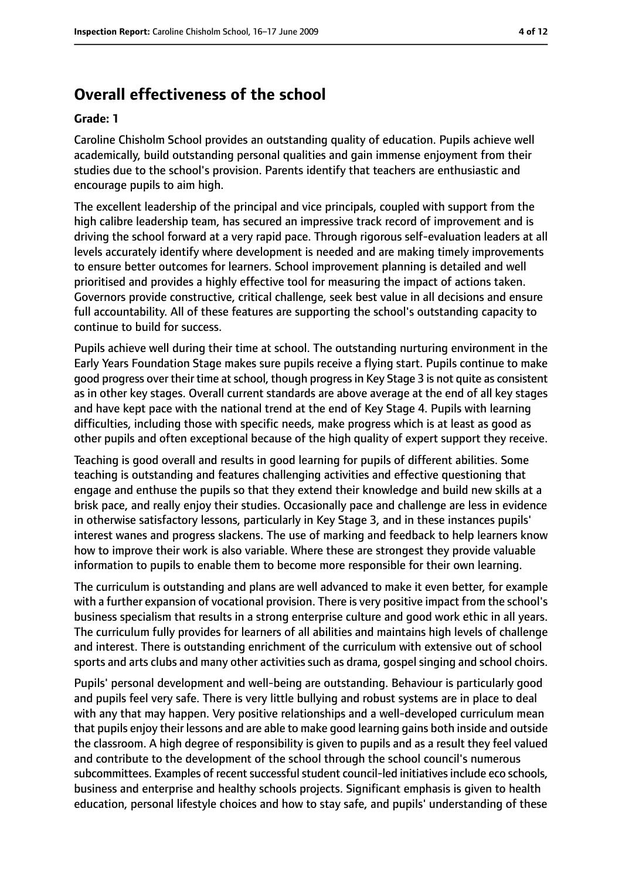# **Overall effectiveness of the school**

#### **Grade: 1**

Caroline Chisholm School provides an outstanding quality of education. Pupils achieve well academically, build outstanding personal qualities and gain immense enjoyment from their studies due to the school's provision. Parents identify that teachers are enthusiastic and encourage pupils to aim high.

The excellent leadership of the principal and vice principals, coupled with support from the high calibre leadership team, has secured an impressive track record of improvement and is driving the school forward at a very rapid pace. Through rigorous self-evaluation leaders at all levels accurately identify where development is needed and are making timely improvements to ensure better outcomes for learners. School improvement planning is detailed and well prioritised and provides a highly effective tool for measuring the impact of actions taken. Governors provide constructive, critical challenge, seek best value in all decisions and ensure full accountability. All of these features are supporting the school's outstanding capacity to continue to build for success.

Pupils achieve well during their time at school. The outstanding nurturing environment in the Early Years Foundation Stage makes sure pupils receive a flying start. Pupils continue to make good progress over their time at school, though progress in Key Stage 3 is not quite as consistent as in other key stages. Overall current standards are above average at the end of all key stages and have kept pace with the national trend at the end of Key Stage 4. Pupils with learning difficulties, including those with specific needs, make progress which is at least as good as other pupils and often exceptional because of the high quality of expert support they receive.

Teaching is good overall and results in good learning for pupils of different abilities. Some teaching is outstanding and features challenging activities and effective questioning that engage and enthuse the pupils so that they extend their knowledge and build new skills at a brisk pace, and really enjoy their studies. Occasionally pace and challenge are less in evidence in otherwise satisfactory lessons, particularly in Key Stage 3, and in these instances pupils' interest wanes and progress slackens. The use of marking and feedback to help learners know how to improve their work is also variable. Where these are strongest they provide valuable information to pupils to enable them to become more responsible for their own learning.

The curriculum is outstanding and plans are well advanced to make it even better, for example with a further expansion of vocational provision. There is very positive impact from the school's business specialism that results in a strong enterprise culture and good work ethic in all years. The curriculum fully provides for learners of all abilities and maintains high levels of challenge and interest. There is outstanding enrichment of the curriculum with extensive out of school sports and arts clubs and many other activities such as drama, gospel singing and school choirs.

Pupils' personal development and well-being are outstanding. Behaviour is particularly good and pupils feel very safe. There is very little bullying and robust systems are in place to deal with any that may happen. Very positive relationships and a well-developed curriculum mean that pupils enjoy their lessons and are able to make good learning gains both inside and outside the classroom. A high degree of responsibility is given to pupils and as a result they feel valued and contribute to the development of the school through the school council's numerous subcommittees. Examples of recent successful student council-led initiatives include eco schools, business and enterprise and healthy schools projects. Significant emphasis is given to health education, personal lifestyle choices and how to stay safe, and pupils' understanding of these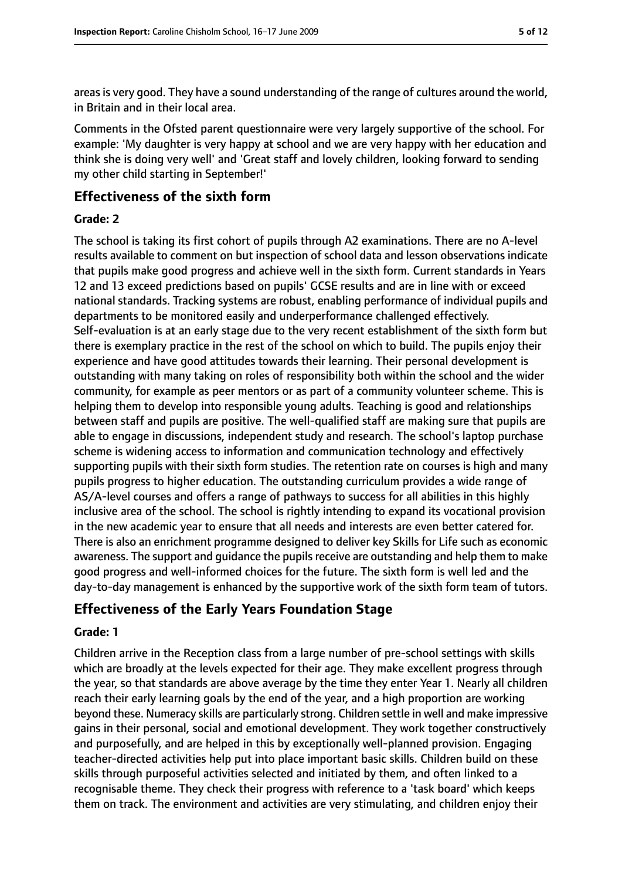areas is very good. They have a sound understanding of the range of cultures around the world, in Britain and in their local area.

Comments in the Ofsted parent questionnaire were very largely supportive of the school. For example: 'My daughter is very happy at school and we are very happy with her education and think she is doing very well' and 'Great staff and lovely children, looking forward to sending my other child starting in September!'

## **Effectiveness of the sixth form**

#### **Grade: 2**

The school is taking its first cohort of pupils through A2 examinations. There are no A-level results available to comment on but inspection of school data and lesson observations indicate that pupils make good progress and achieve well in the sixth form. Current standards in Years 12 and 13 exceed predictions based on pupils' GCSE results and are in line with or exceed national standards. Tracking systems are robust, enabling performance of individual pupils and departments to be monitored easily and underperformance challenged effectively. Self-evaluation is at an early stage due to the very recent establishment of the sixth form but there is exemplary practice in the rest of the school on which to build. The pupils enjoy their experience and have good attitudes towards their learning. Their personal development is outstanding with many taking on roles of responsibility both within the school and the wider community, for example as peer mentors or as part of a community volunteer scheme. This is helping them to develop into responsible young adults. Teaching is good and relationships between staff and pupils are positive. The well-qualified staff are making sure that pupils are able to engage in discussions, independent study and research. The school's laptop purchase scheme is widening access to information and communication technology and effectively supporting pupils with their sixth form studies. The retention rate on courses is high and many pupils progress to higher education. The outstanding curriculum provides a wide range of AS/A-level courses and offers a range of pathways to success for all abilities in this highly inclusive area of the school. The school is rightly intending to expand its vocational provision in the new academic year to ensure that all needs and interests are even better catered for. There is also an enrichment programme designed to deliver key Skills for Life such as economic awareness. The support and quidance the pupils receive are outstanding and help them to make good progress and well-informed choices for the future. The sixth form is well led and the day-to-day management is enhanced by the supportive work of the sixth form team of tutors.

## **Effectiveness of the Early Years Foundation Stage**

#### **Grade: 1**

Children arrive in the Reception class from a large number of pre-school settings with skills which are broadly at the levels expected for their age. They make excellent progress through the year, so that standards are above average by the time they enter Year 1. Nearly all children reach their early learning goals by the end of the year, and a high proportion are working beyond these. Numeracy skills are particularly strong. Children settle in well and make impressive gains in their personal, social and emotional development. They work together constructively and purposefully, and are helped in this by exceptionally well-planned provision. Engaging teacher-directed activities help put into place important basic skills. Children build on these skills through purposeful activities selected and initiated by them, and often linked to a recognisable theme. They check their progress with reference to a 'task board' which keeps them on track. The environment and activities are very stimulating, and children enjoy their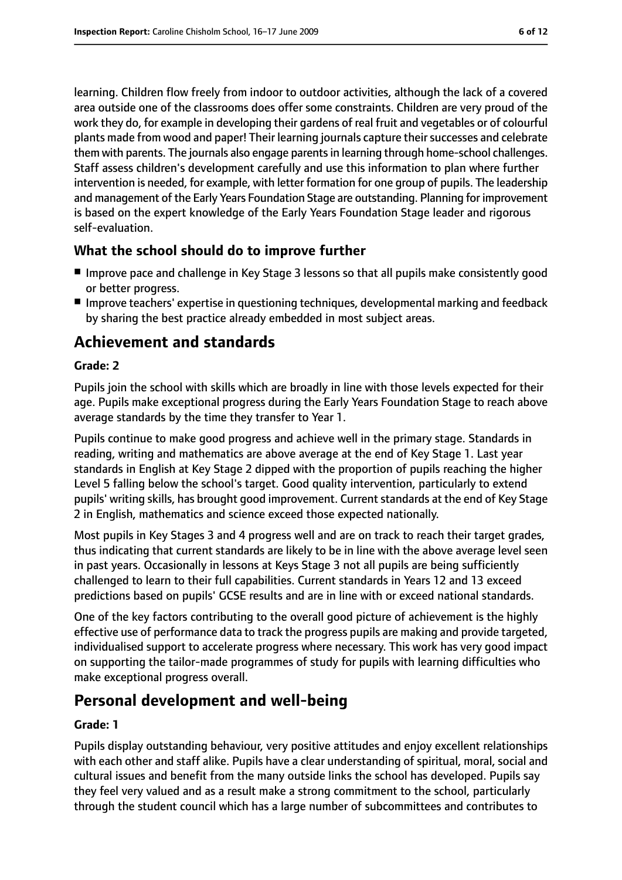learning. Children flow freely from indoor to outdoor activities, although the lack of a covered area outside one of the classrooms does offer some constraints. Children are very proud of the work they do, for example in developing their gardens of real fruit and vegetables or of colourful plants made from wood and paper! Their learning journals capture their successes and celebrate them with parents. The journals also engage parentsin learning through home-school challenges. Staff assess children's development carefully and use this information to plan where further intervention is needed, for example, with letter formation for one group of pupils. The leadership and management of the Early Years Foundation Stage are outstanding. Planning for improvement is based on the expert knowledge of the Early Years Foundation Stage leader and rigorous self-evaluation.

#### **What the school should do to improve further**

- Improve pace and challenge in Key Stage 3 lessons so that all pupils make consistently good or better progress.
- Improve teachers' expertise in questioning techniques, developmental marking and feedback by sharing the best practice already embedded in most subject areas.

# **Achievement and standards**

#### **Grade: 2**

Pupils join the school with skills which are broadly in line with those levels expected for their age. Pupils make exceptional progress during the Early Years Foundation Stage to reach above average standards by the time they transfer to Year 1.

Pupils continue to make good progress and achieve well in the primary stage. Standards in reading, writing and mathematics are above average at the end of Key Stage 1. Last year standards in English at Key Stage 2 dipped with the proportion of pupils reaching the higher Level 5 falling below the school's target. Good quality intervention, particularly to extend pupils' writing skills, has brought good improvement. Current standards at the end of Key Stage 2 in English, mathematics and science exceed those expected nationally.

Most pupils in Key Stages 3 and 4 progress well and are on track to reach their target grades, thus indicating that current standards are likely to be in line with the above average level seen in past years. Occasionally in lessons at Keys Stage 3 not all pupils are being sufficiently challenged to learn to their full capabilities. Current standards in Years 12 and 13 exceed predictions based on pupils' GCSE results and are in line with or exceed national standards.

One of the key factors contributing to the overall good picture of achievement is the highly effective use of performance data to track the progress pupils are making and provide targeted, individualised support to accelerate progress where necessary. This work has very good impact on supporting the tailor-made programmes of study for pupils with learning difficulties who make exceptional progress overall.

# **Personal development and well-being**

#### **Grade: 1**

Pupils display outstanding behaviour, very positive attitudes and enjoy excellent relationships with each other and staff alike. Pupils have a clear understanding of spiritual, moral, social and cultural issues and benefit from the many outside links the school has developed. Pupils say they feel very valued and as a result make a strong commitment to the school, particularly through the student council which has a large number of subcommittees and contributes to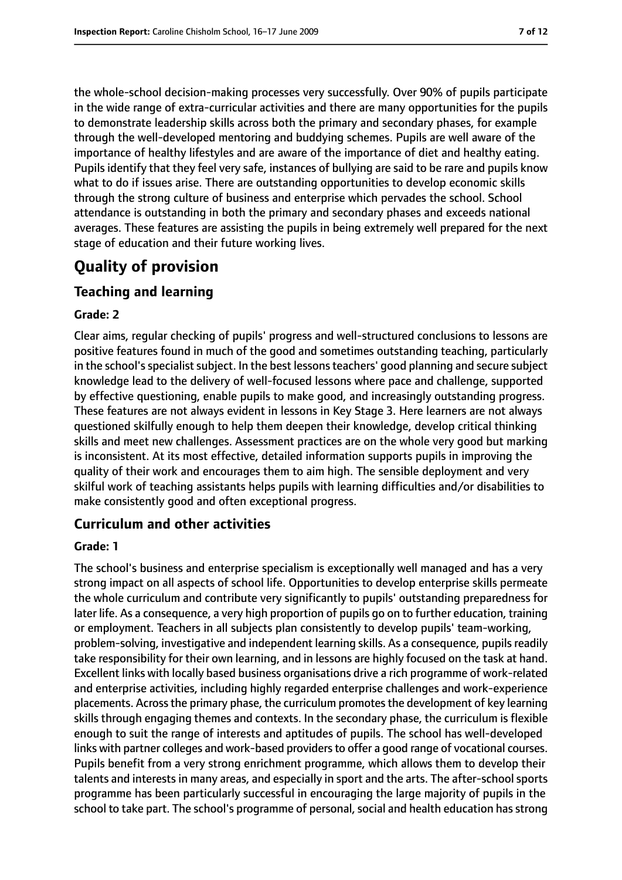the whole-school decision-making processes very successfully. Over 90% of pupils participate in the wide range of extra-curricular activities and there are many opportunities for the pupils to demonstrate leadership skills across both the primary and secondary phases, for example through the well-developed mentoring and buddying schemes. Pupils are well aware of the importance of healthy lifestyles and are aware of the importance of diet and healthy eating. Pupils identify that they feel very safe, instances of bullying are said to be rare and pupils know what to do if issues arise. There are outstanding opportunities to develop economic skills through the strong culture of business and enterprise which pervades the school. School attendance is outstanding in both the primary and secondary phases and exceeds national averages. These features are assisting the pupils in being extremely well prepared for the next stage of education and their future working lives.

# **Quality of provision**

## **Teaching and learning**

#### **Grade: 2**

Clear aims, regular checking of pupils' progress and well-structured conclusions to lessons are positive features found in much of the good and sometimes outstanding teaching, particularly in the school's specialist subject. In the best lessons teachers' good planning and secure subject knowledge lead to the delivery of well-focused lessons where pace and challenge, supported by effective questioning, enable pupils to make good, and increasingly outstanding progress. These features are not always evident in lessons in Key Stage 3. Here learners are not always questioned skilfully enough to help them deepen their knowledge, develop critical thinking skills and meet new challenges. Assessment practices are on the whole very good but marking is inconsistent. At its most effective, detailed information supports pupils in improving the quality of their work and encourages them to aim high. The sensible deployment and very skilful work of teaching assistants helps pupils with learning difficulties and/or disabilities to make consistently good and often exceptional progress.

## **Curriculum and other activities**

#### **Grade: 1**

The school's business and enterprise specialism is exceptionally well managed and has a very strong impact on all aspects of school life. Opportunities to develop enterprise skills permeate the whole curriculum and contribute very significantly to pupils' outstanding preparedness for later life. As a consequence, a very high proportion of pupils go on to further education, training or employment. Teachers in all subjects plan consistently to develop pupils' team-working, problem-solving, investigative and independent learning skills. As a consequence, pupils readily take responsibility for their own learning, and in lessons are highly focused on the task at hand. Excellent links with locally based business organisations drive a rich programme of work-related and enterprise activities, including highly regarded enterprise challenges and work-experience placements. Acrossthe primary phase, the curriculum promotesthe development of key learning skills through engaging themes and contexts. In the secondary phase, the curriculum is flexible enough to suit the range of interests and aptitudes of pupils. The school has well-developed links with partner colleges and work-based providers to offer a good range of vocational courses. Pupils benefit from a very strong enrichment programme, which allows them to develop their talents and interests in many areas, and especially in sport and the arts. The after-school sports programme has been particularly successful in encouraging the large majority of pupils in the school to take part. The school's programme of personal, social and health education has strong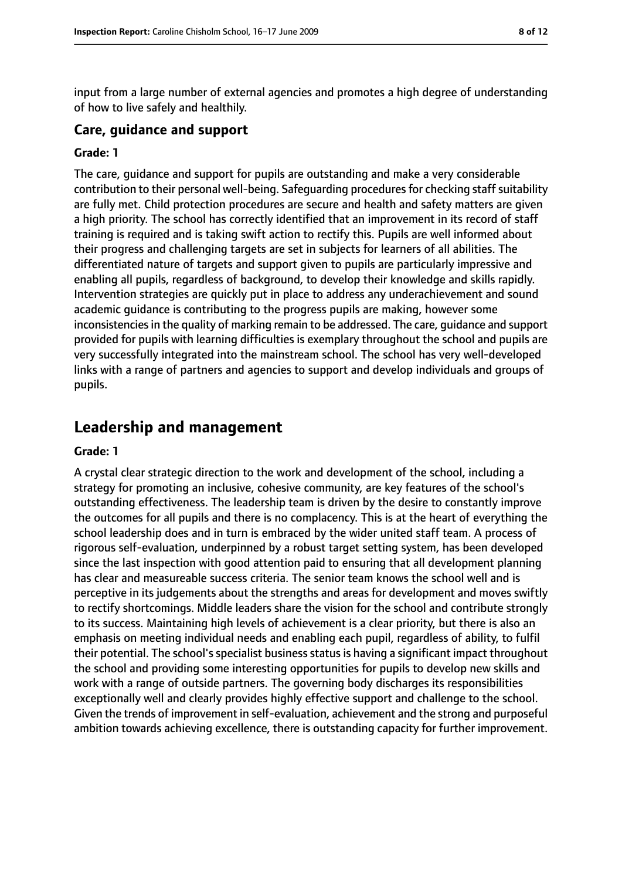input from a large number of external agencies and promotes a high degree of understanding of how to live safely and healthily.

#### **Care, guidance and support**

#### **Grade: 1**

The care, guidance and support for pupils are outstanding and make a very considerable contribution to their personal well-being. Safeguarding procedures for checking staff suitability are fully met. Child protection procedures are secure and health and safety matters are given a high priority. The school has correctly identified that an improvement in its record of staff training is required and is taking swift action to rectify this. Pupils are well informed about their progress and challenging targets are set in subjects for learners of all abilities. The differentiated nature of targets and support given to pupils are particularly impressive and enabling all pupils, regardless of background, to develop their knowledge and skills rapidly. Intervention strategies are quickly put in place to address any underachievement and sound academic guidance is contributing to the progress pupils are making, however some inconsistencies in the quality of marking remain to be addressed. The care, guidance and support provided for pupils with learning difficulties is exemplary throughout the school and pupils are very successfully integrated into the mainstream school. The school has very well-developed links with a range of partners and agencies to support and develop individuals and groups of pupils.

# **Leadership and management**

#### **Grade: 1**

A crystal clear strategic direction to the work and development of the school, including a strategy for promoting an inclusive, cohesive community, are key features of the school's outstanding effectiveness. The leadership team is driven by the desire to constantly improve the outcomes for all pupils and there is no complacency. This is at the heart of everything the school leadership does and in turn is embraced by the wider united staff team. A process of rigorous self-evaluation, underpinned by a robust target setting system, has been developed since the last inspection with good attention paid to ensuring that all development planning has clear and measureable success criteria. The senior team knows the school well and is perceptive in its judgements about the strengths and areas for development and moves swiftly to rectify shortcomings. Middle leaders share the vision for the school and contribute strongly to its success. Maintaining high levels of achievement is a clear priority, but there is also an emphasis on meeting individual needs and enabling each pupil, regardless of ability, to fulfil their potential. The school's specialist business status is having a significant impact throughout the school and providing some interesting opportunities for pupils to develop new skills and work with a range of outside partners. The governing body discharges its responsibilities exceptionally well and clearly provides highly effective support and challenge to the school. Given the trends of improvement in self-evaluation, achievement and the strong and purposeful ambition towards achieving excellence, there is outstanding capacity for further improvement.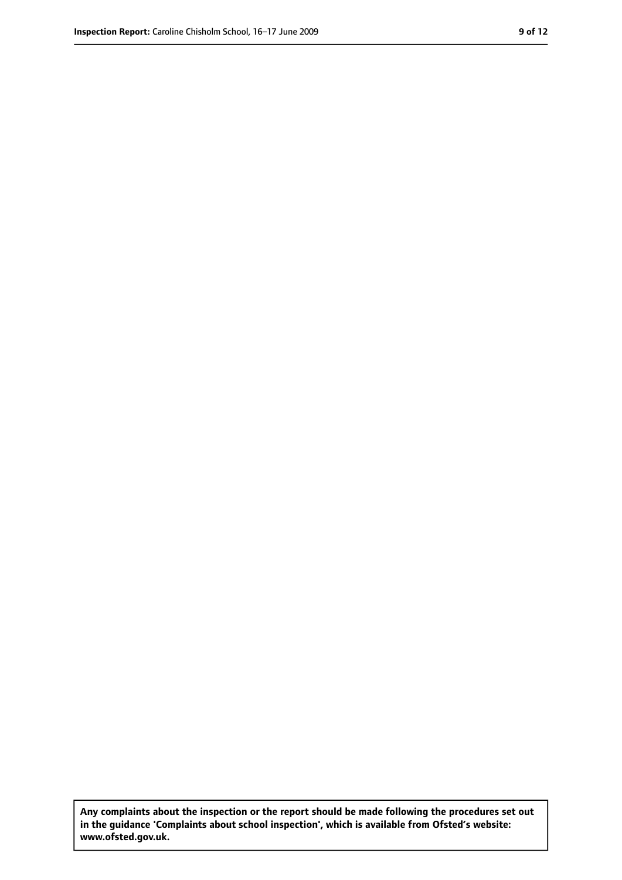**Any complaints about the inspection or the report should be made following the procedures set out in the guidance 'Complaints about school inspection', which is available from Ofsted's website: www.ofsted.gov.uk.**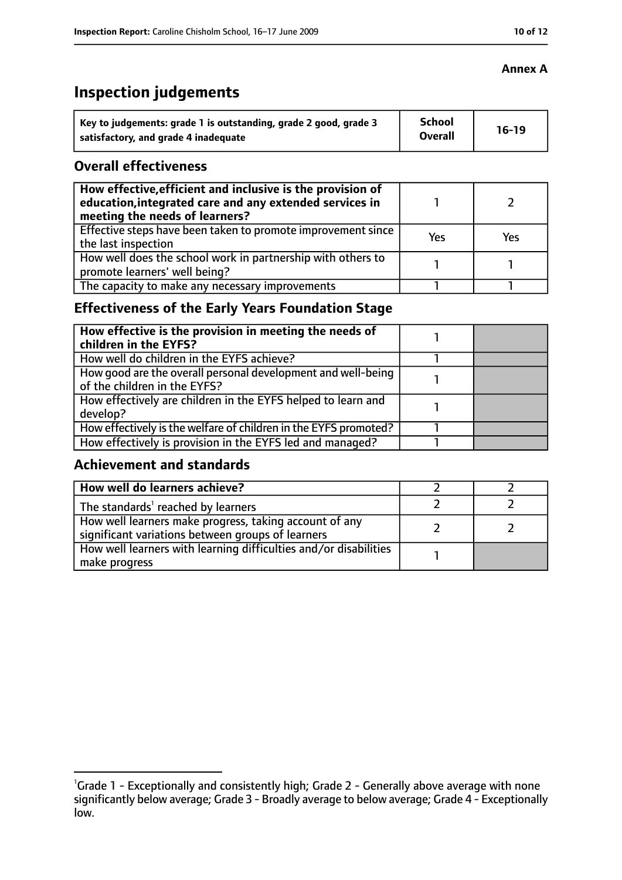# **Inspection judgements**

| Key to judgements: grade 1 is outstanding, grade 2 good, grade 3 | School<br><b>Overall</b> | $16-19$ |
|------------------------------------------------------------------|--------------------------|---------|
| satisfactory, and grade 4 inadequate                             |                          |         |

#### **Overall effectiveness**

| How effective, efficient and inclusive is the provision of<br>education, integrated care and any extended services in<br>meeting the needs of learners? |     |            |
|---------------------------------------------------------------------------------------------------------------------------------------------------------|-----|------------|
| Effective steps have been taken to promote improvement since<br>the last inspection                                                                     | Yes | <b>Yes</b> |
| How well does the school work in partnership with others to<br>promote learners' well being?                                                            |     |            |
| The capacity to make any necessary improvements                                                                                                         |     |            |

# **Effectiveness of the Early Years Foundation Stage**

| How effective is the provision in meeting the needs of<br>children in the EYFS?              |  |
|----------------------------------------------------------------------------------------------|--|
| How well do children in the EYFS achieve?                                                    |  |
| How good are the overall personal development and well-being<br>of the children in the EYFS? |  |
| How effectively are children in the EYFS helped to learn and<br>develop?                     |  |
| How effectively is the welfare of children in the EYFS promoted?                             |  |
| How effectively is provision in the EYFS led and managed?                                    |  |

## **Achievement and standards**

| How well do learners achieve?                                                                               |  |
|-------------------------------------------------------------------------------------------------------------|--|
| The standards <sup>1</sup> reached by learners                                                              |  |
| How well learners make progress, taking account of any<br>significant variations between groups of learners |  |
| How well learners with learning difficulties and/or disabilities<br>  make progress                         |  |

## **Annex A**

<sup>&</sup>lt;sup>1</sup>Grade 1 - Exceptionally and consistently high; Grade 2 - Generally above average with none significantly below average; Grade 3 - Broadly average to below average; Grade 4 - Exceptionally low.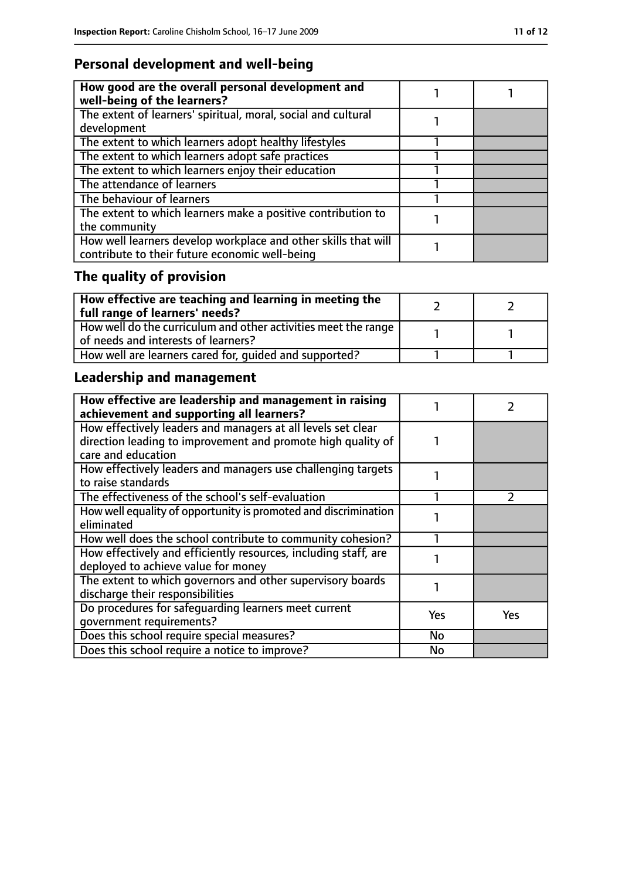# **Personal development and well-being**

| How good are the overall personal development and<br>well-being of the learners?                                 |  |
|------------------------------------------------------------------------------------------------------------------|--|
| The extent of learners' spiritual, moral, social and cultural<br>development                                     |  |
| The extent to which learners adopt healthy lifestyles                                                            |  |
| The extent to which learners adopt safe practices                                                                |  |
| The extent to which learners enjoy their education                                                               |  |
| The attendance of learners                                                                                       |  |
| The behaviour of learners                                                                                        |  |
| The extent to which learners make a positive contribution to<br>the community                                    |  |
| How well learners develop workplace and other skills that will<br>contribute to their future economic well-being |  |

# **The quality of provision**

| How effective are teaching and learning in meeting the<br>full range of learners' needs?              |  |
|-------------------------------------------------------------------------------------------------------|--|
| How well do the curriculum and other activities meet the range<br>of needs and interests of learners? |  |
| How well are learners cared for, quided and supported?                                                |  |

# **Leadership and management**

| How effective are leadership and management in raising<br>achievement and supporting all learners?                                                 |            |     |
|----------------------------------------------------------------------------------------------------------------------------------------------------|------------|-----|
| How effectively leaders and managers at all levels set clear<br>direction leading to improvement and promote high quality of<br>care and education |            |     |
| How effectively leaders and managers use challenging targets<br>to raise standards                                                                 |            |     |
| The effectiveness of the school's self-evaluation                                                                                                  |            |     |
| How well equality of opportunity is promoted and discrimination<br>eliminated                                                                      |            |     |
| How well does the school contribute to community cohesion?                                                                                         |            |     |
| How effectively and efficiently resources, including staff, are<br>deployed to achieve value for money                                             |            |     |
| The extent to which governors and other supervisory boards<br>discharge their responsibilities                                                     |            |     |
| Do procedures for safequarding learners meet current<br>qovernment requirements?                                                                   | <b>Yes</b> | Yes |
| Does this school require special measures?                                                                                                         | No         |     |
| Does this school require a notice to improve?                                                                                                      | No         |     |